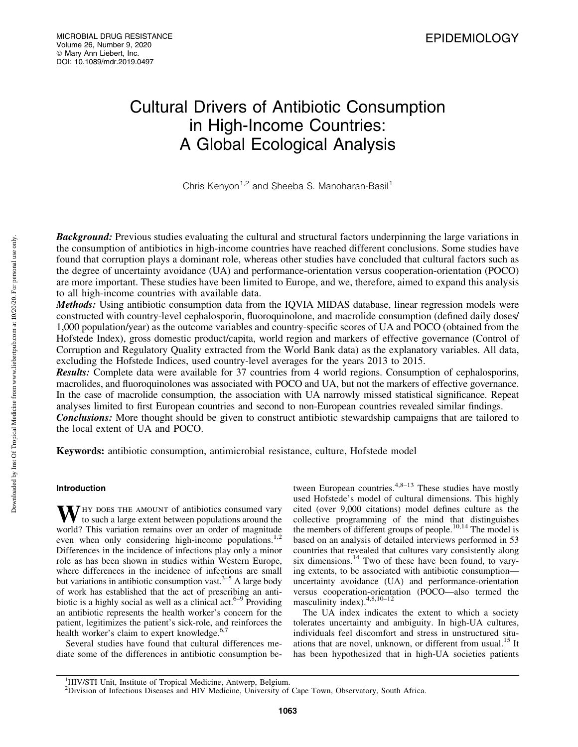# Cultural Drivers of Antibiotic Consumption in High-Income Countries: A Global Ecological Analysis

Chris Kenyon<sup>1,2</sup> and Sheeba S. Manoharan-Basil<sup>1</sup>

**Background:** Previous studies evaluating the cultural and structural factors underpinning the large variations in the consumption of antibiotics in high-income countries have reached different conclusions. Some studies have found that corruption plays a dominant role, whereas other studies have concluded that cultural factors such as the degree of uncertainty avoidance (UA) and performance-orientation versus cooperation-orientation (POCO) are more important. These studies have been limited to Europe, and we, therefore, aimed to expand this analysis to all high-income countries with available data.

Methods: Using antibiotic consumption data from the IQVIA MIDAS database, linear regression models were constructed with country-level cephalosporin, fluoroquinolone, and macrolide consumption (defined daily doses/ 1,000 population/year) as the outcome variables and country-specific scores of UA and POCO (obtained from the Hofstede Index), gross domestic product/capita, world region and markers of effective governance (Control of Corruption and Regulatory Quality extracted from the World Bank data) as the explanatory variables. All data, excluding the Hofstede Indices, used country-level averages for the years 2013 to 2015.

Results: Complete data were available for 37 countries from 4 world regions. Consumption of cephalosporins, macrolides, and fluoroquinolones was associated with POCO and UA, but not the markers of effective governance. In the case of macrolide consumption, the association with UA narrowly missed statistical significance. Repeat analyses limited to first European countries and second to non-European countries revealed similar findings.

**Conclusions:** More thought should be given to construct antibiotic stewardship campaigns that are tailored to the local extent of UA and POCO.

Keywords: antibiotic consumption, antimicrobial resistance, culture, Hofstede model

# Introduction

WHY DOES THE AMOUNT of antibiotics consumed vary<br>to such a large extent between populations around the world? This variation remains over an order of magnitude even when only considering high-income populations.<sup>1,2</sup> Differences in the incidence of infections play only a minor role as has been shown in studies within Western Europe, where differences in the incidence of infections are small but variations in antibiotic consumption vast.<sup>3–5</sup> A large body of work has established that the act of prescribing an antibiotic is a highly social as well as a clinical act.<sup>6–9</sup> Providing an antibiotic represents the health worker's concern for the patient, legitimizes the patient's sick-role, and reinforces the health worker's claim to expert knowledge.<sup>6,7</sup>

Several studies have found that cultural differences mediate some of the differences in antibiotic consumption between European countries.<sup>4,8–13</sup> These studies have mostly used Hofstede's model of cultural dimensions. This highly cited (over 9,000 citations) model defines culture as the collective programming of the mind that distinguishes the members of different groups of people.<sup>10,14</sup> The model is based on an analysis of detailed interviews performed in 53 countries that revealed that cultures vary consistently along six dimensions.<sup>14</sup> Two of these have been found, to varying extents, to be associated with antibiotic consumption uncertainty avoidance (UA) and performance-orientation versus cooperation-orientation (POCO—also termed the masculinity index).4,8,10–12

The UA index indicates the extent to which a society tolerates uncertainty and ambiguity. In high-UA cultures, individuals feel discomfort and stress in unstructured situations that are novel, unknown, or different from usual.<sup>15</sup> It has been hypothesized that in high-UA societies patients

<sup>&</sup>lt;sup>1</sup>HIV/STI Unit, Institute of Tropical Medicine, Antwerp, Belgium.

<sup>&</sup>lt;sup>2</sup>Division of Infectious Diseases and HIV Medicine, University of Cape Town, Observatory, South Africa.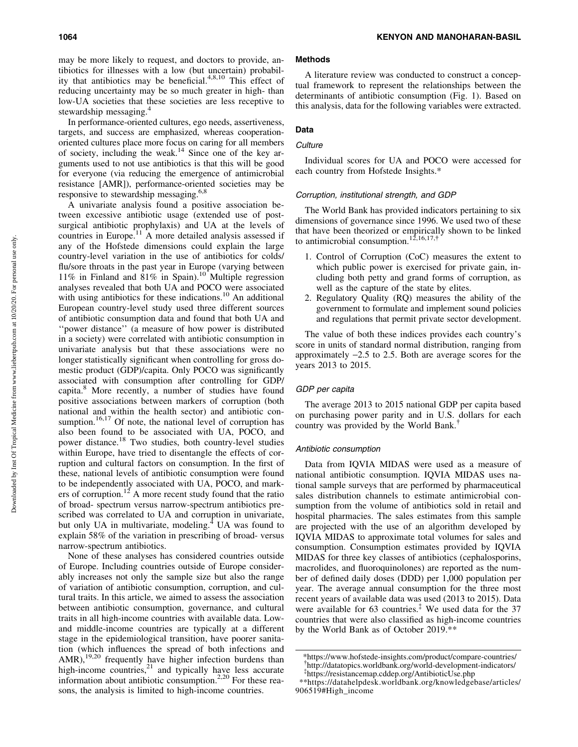In performance-oriented cultures, ego needs, assertiveness, targets, and success are emphasized, whereas cooperationoriented cultures place more focus on caring for all members of society, including the weak.14 Since one of the key arguments used to not use antibiotics is that this will be good for everyone (via reducing the emergence of antimicrobial resistance [AMR]), performance-oriented societies may be responsive to stewardship messaging.6,8

A univariate analysis found a positive association between excessive antibiotic usage (extended use of postsurgical antibiotic prophylaxis) and UA at the levels of countries in Europe.<sup>11</sup> A more detailed analysis assessed if any of the Hofstede dimensions could explain the large country-level variation in the use of antibiotics for colds/ flu/sore throats in the past year in Europe (varying between 11% in Finland and  $81\%$  in Spain).<sup>10</sup> Multiple regression analyses revealed that both UA and POCO were associated with using antibiotics for these indications.<sup>10</sup> An additional European country-level study used three different sources of antibiotic consumption data and found that both UA and ''power distance'' (a measure of how power is distributed in a society) were correlated with antibiotic consumption in univariate analysis but that these associations were no longer statistically significant when controlling for gross domestic product (GDP)/capita. Only POCO was significantly associated with consumption after controlling for GDP/ capita.<sup>8</sup> More recently, a number of studies have found positive associations between markers of corruption (both national and within the health sector) and antibiotic consumption.<sup>16,17</sup> Of note, the national level of corruption has also been found to be associated with UA, POCO, and power distance.<sup>18</sup> Two studies, both country-level studies within Europe, have tried to disentangle the effects of corruption and cultural factors on consumption. In the first of these, national levels of antibiotic consumption were found to be independently associated with UA, POCO, and markers of corruption.<sup>12</sup> A more recent study found that the ratio of broad- spectrum versus narrow-spectrum antibiotics prescribed was correlated to UA and corruption in univariate, but only UA in multivariate, modeling. $4$  UA was found to explain 58% of the variation in prescribing of broad- versus narrow-spectrum antibiotics.

None of these analyses has considered countries outside of Europe. Including countries outside of Europe considerably increases not only the sample size but also the range of variation of antibiotic consumption, corruption, and cultural traits. In this article, we aimed to assess the association between antibiotic consumption, governance, and cultural traits in all high-income countries with available data. Lowand middle-income countries are typically at a different stage in the epidemiological transition, have poorer sanitation (which influences the spread of both infections and  $AMR$ ),<sup>19,20</sup> frequently have higher infection burdens than high-income countries, $2<sup>1</sup>$  and typically have less accurate information about antibiotic consumption.<sup>2,20</sup> For these reasons, the analysis is limited to high-income countries.

## Methods

A literature review was conducted to construct a conceptual framework to represent the relationships between the determinants of antibiotic consumption (Fig. 1). Based on this analysis, data for the following variables were extracted.

# Data

# **Culture**

Individual scores for UA and POCO were accessed for each country from Hofstede Insights.\*

#### Corruption, institutional strength, and GDP

The World Bank has provided indicators pertaining to six dimensions of governance since 1996. We used two of these that have been theorized or empirically shown to be linked to antimicrobial consumption.<sup>12,16,17,†</sup>

- 1. Control of Corruption (CoC) measures the extent to which public power is exercised for private gain, including both petty and grand forms of corruption, as well as the capture of the state by elites.
- 2. Regulatory Quality (RQ) measures the ability of the government to formulate and implement sound policies and regulations that permit private sector development.

The value of both these indices provides each country's score in units of standard normal distribution, ranging from approximately  $-2.5$  to 2.5. Both are average scores for the years 2013 to 2015.

#### GDP per capita

The average 2013 to 2015 national GDP per capita based on purchasing power parity and in U.S. dollars for each country was provided by the World Bank.{

#### Antibiotic consumption

Data from IQVIA MIDAS were used as a measure of national antibiotic consumption. IQVIA MIDAS uses national sample surveys that are performed by pharmaceutical sales distribution channels to estimate antimicrobial consumption from the volume of antibiotics sold in retail and hospital pharmacies. The sales estimates from this sample are projected with the use of an algorithm developed by IQVIA MIDAS to approximate total volumes for sales and consumption. Consumption estimates provided by IQVIA MIDAS for three key classes of antibiotics (cephalosporins, macrolides, and fluoroquinolones) are reported as the number of defined daily doses (DDD) per 1,000 population per year. The average annual consumption for the three most recent years of available data was used (2013 to 2015). Data were available for  $63$  countries.<sup> $\ddagger$ </sup> We used data for the 37 countries that were also classified as high-income countries by the World Bank as of October 2019.\*\*

[<sup>\\*</sup>https://www.hofstede-insights.com/product/compare-countries/](https://www.hofstede-insights.com/product/compare-countries/) { <http://datatopics.worldbank.org/world-development-indicators/> { <https://resistancemap.cddep.org/AntibioticUse.php>

<sup>\*\*</sup>[https://datahelpdesk.worldbank.org/knowledgebase/articles/](https://datahelpdesk.worldbank.org/knowledgebase/articles/906519#High_income) [906519#High\\_income](https://datahelpdesk.worldbank.org/knowledgebase/articles/906519#High_income)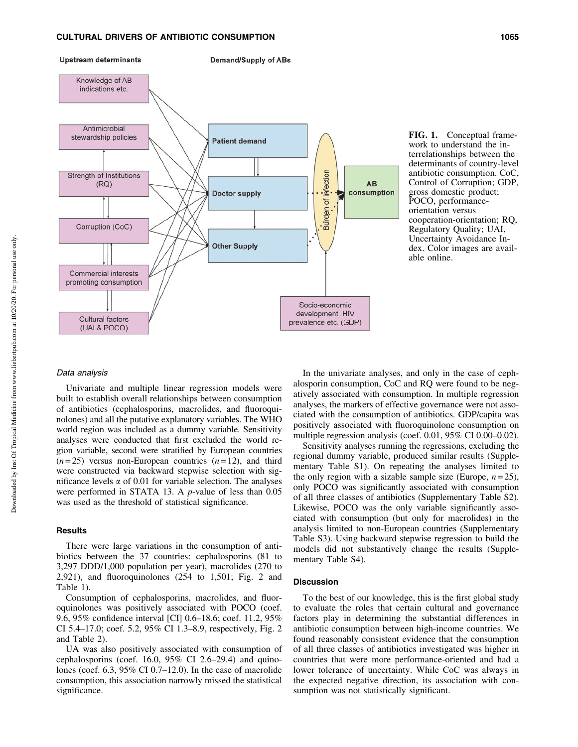

**Demand/Supply of ABs** 



FIG. 1. Conceptual framework to understand the interrelationships between the determinants of country-level antibiotic consumption. CoC, Control of Corruption; GDP, gross domestic product; POCO, performanceorientation versus cooperation-orientation; RQ, Regulatory Quality; UAI, Uncertainty Avoidance Index. Color images are available online.

## Data analysis

Univariate and multiple linear regression models were built to establish overall relationships between consumption of antibiotics (cephalosporins, macrolides, and fluoroquinolones) and all the putative explanatory variables. The WHO world region was included as a dummy variable. Sensitivity analyses were conducted that first excluded the world region variable, second were stratified by European countries  $(n=25)$  versus non-European countries  $(n=12)$ , and third were constructed via backward stepwise selection with significance levels  $\alpha$  of 0.01 for variable selection. The analyses were performed in STATA 13. A *p*-value of less than 0.05 was used as the threshold of statistical significance.

#### **Results**

There were large variations in the consumption of antibiotics between the 37 countries: cephalosporins (81 to 3,297 DDD/1,000 population per year), macrolides (270 to 2,921), and fluoroquinolones (254 to 1,501; Fig. 2 and Table 1).

Consumption of cephalosporins, macrolides, and fluoroquinolones was positively associated with POCO (coef. 9.6, 95% confidence interval [CI] 0.6–18.6; coef. 11.2, 95% CI 5.4–17.0; coef. 5.2, 95% CI 1.3–8.9, respectively, Fig. 2 and Table 2).

UA was also positively associated with consumption of cephalosporins (coef. 16.0, 95% CI 2.6–29.4) and quinolones (coef. 6.3, 95% CI 0.7–12.0). In the case of macrolide consumption, this association narrowly missed the statistical significance.

In the univariate analyses, and only in the case of cephalosporin consumption, CoC and RQ were found to be negatively associated with consumption. In multiple regression analyses, the markers of effective governance were not associated with the consumption of antibiotics. GDP/capita was positively associated with fluoroquinolone consumption on multiple regression analysis (coef. 0.01, 95% CI 0.00–0.02).

Sensitivity analyses running the regressions, excluding the regional dummy variable, produced similar results (Supplementary Table S1). On repeating the analyses limited to the only region with a sizable sample size (Europe,  $n = 25$ ), only POCO was significantly associated with consumption of all three classes of antibiotics (Supplementary Table S2). Likewise, POCO was the only variable significantly associated with consumption (but only for macrolides) in the analysis limited to non-European countries (Supplementary Table S3). Using backward stepwise regression to build the models did not substantively change the results (Supplementary Table S4).

## Discussion

To the best of our knowledge, this is the first global study to evaluate the roles that certain cultural and governance factors play in determining the substantial differences in antibiotic consumption between high-income countries. We found reasonably consistent evidence that the consumption of all three classes of antibiotics investigated was higher in countries that were more performance-oriented and had a lower tolerance of uncertainty. While CoC was always in the expected negative direction, its association with consumption was not statistically significant.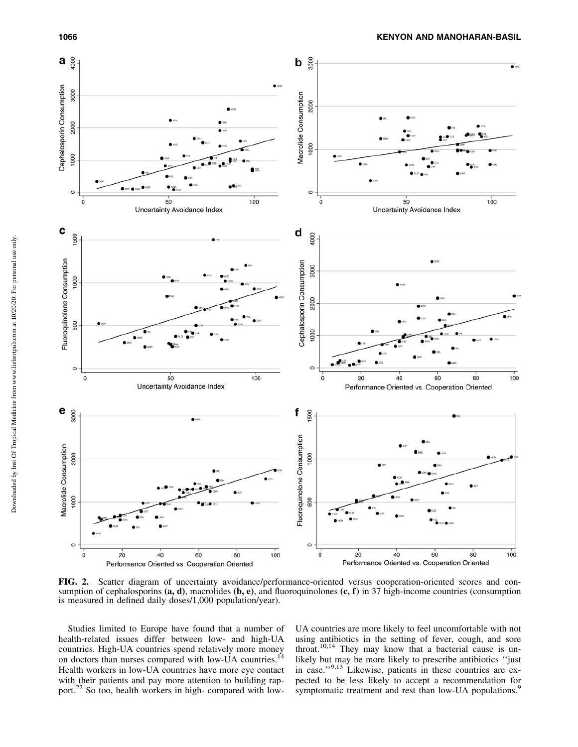

FIG. 2. Scatter diagram of uncertainty avoidance/performance-oriented versus cooperation-oriented scores and consumption of cephalosporins  $(a, d)$ , macrolides  $(b, e)$ , and fluoroquinolones  $(c, f)$  in 37 high-income countries (consumption is measured in defined daily doses/1,000 population/year).

Studies limited to Europe have found that a number of health-related issues differ between low- and high-UA countries. High-UA countries spend relatively more money on doctors than nurses compared with low-UA countries.<sup>14</sup> Health workers in low-UA countries have more eye contact with their patients and pay more attention to building rapport.<sup>22</sup> So too, health workers in high- compared with lowUA countries are more likely to feel uncomfortable with not using antibiotics in the setting of fever, cough, and sore throat.10,14 They may know that a bacterial cause is unlikely but may be more likely to prescribe antibiotics ''just in case."<sup>9,13</sup> Likewise, patients in these countries are expected to be less likely to accept a recommendation for symptomatic treatment and rest than low-UA populations.<sup>9</sup>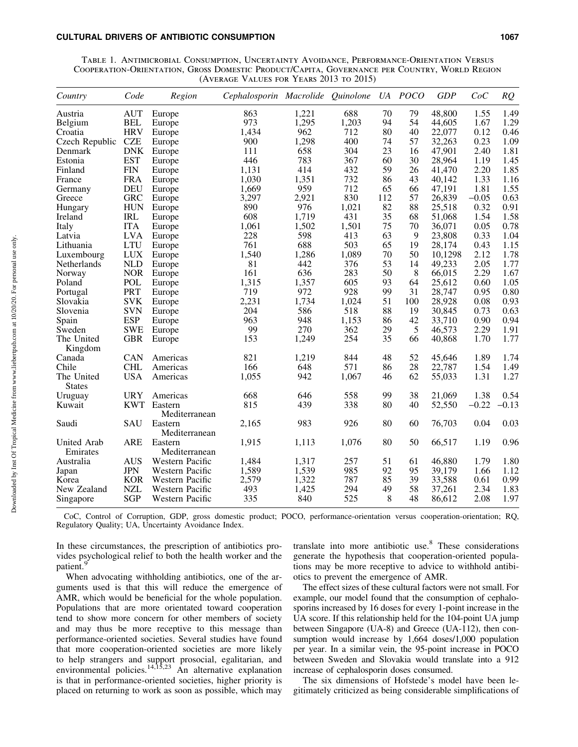#### CULTURAL DRIVERS OF ANTIBIOTIC CONSUMPTION 1067

Table 1. Antimicrobial Consumption, Uncertainty Avoidance, Performance-Orientation Versus Cooperation-Orientation, Gross Domestic Product/Capita, Governance per Country, World Region (Average Values for Years 2013 to 2015)

| Country        | Code       | Region          | Cephalosporin Macrolide Quinolone |       |       |     | UA POCO | <b>GDP</b> | CoC     | RQ      |
|----------------|------------|-----------------|-----------------------------------|-------|-------|-----|---------|------------|---------|---------|
| Austria        | <b>AUT</b> | Europe          | 863                               | 1,221 | 688   | 70  | 79      | 48,800     | 1.55    | 1.49    |
| Belgium        | BEL        | Europe          | 973                               | 1,295 | 1,203 | 94  | 54      | 44,605     | 1.67    | 1.29    |
| Croatia        | <b>HRV</b> | Europe          | 1,434                             | 962   | 712   | 80  | 40      | 22,077     | 0.12    | 0.46    |
| Czech Republic | <b>CZE</b> | Europe          | 900                               | 1,298 | 400   | 74  | 57      | 32,263     | 0.23    | 1.09    |
| Denmark        | <b>DNK</b> | Europe          | 111                               | 658   | 304   | 23  | 16      | 47,901     | 2.40    | 1.81    |
| Estonia        | <b>EST</b> | Europe          | 446                               | 783   | 367   | 60  | 30      | 28,964     | 1.19    | 1.45    |
| Finland        | <b>FIN</b> | Europe          | 1,131                             | 414   | 432   | 59  | 26      | 41,470     | 2.20    | 1.85    |
| France         | <b>FRA</b> | Europe          | 1,030                             | 1,351 | 732   | 86  | 43      | 40,142     | 1.33    | 1.16    |
| Germany        | <b>DEU</b> | Europe          | 1,669                             | 959   | 712   | 65  | 66      | 47,191     | 1.81    | 1.55    |
| Greece         | <b>GRC</b> | Europe          | 3,297                             | 2,921 | 830   | 112 | 57      | 26,839     | $-0.05$ | 0.63    |
| Hungary        | <b>HUN</b> | Europe          | 890                               | 976   | 1,021 | 82  | 88      | 25,518     | 0.32    | 0.91    |
| Ireland        | <b>IRL</b> | Europe          | 608                               | 1,719 | 431   | 35  | 68      | 51,068     | 1.54    | 1.58    |
| Italy          | <b>ITA</b> | Europe          | 1,061                             | 1,502 | 1,501 | 75  | 70      | 36,071     | 0.05    | 0.78    |
| Latvia         | <b>LVA</b> | Europe          | 228                               | 598   | 413   | 63  | 9       | 23,808     | 0.33    | 1.04    |
| Lithuania      | <b>LTU</b> | Europe          | 761                               | 688   | 503   | 65  | 19      | 28,174     | 0.43    | 1.15    |
| Luxembourg     | <b>LUX</b> | Europe          | 1,540                             | 1,286 | 1,089 | 70  | 50      | 10,1298    | 2.12    | 1.78    |
| Netherlands    | NLD        | Europe          | 81                                | 442   | 376   | 53  | 14      | 49,233     | 2.05    | 1.77    |
| Norway         | <b>NOR</b> | Europe          | 161                               | 636   | 283   | 50  | 8       | 66,015     | 2.29    | 1.67    |
| Poland         | POL        | Europe          | 1,315                             | 1,357 | 605   | 93  | 64      | 25,612     | 0.60    | 1.05    |
| Portugal       | PRT        | Europe          | 719                               | 972   | 928   | 99  | 31      | 28,747     | 0.95    | 0.80    |
| Slovakia       | <b>SVK</b> | Europe          | 2,231                             | 1,734 | 1,024 | 51  | 100     | 28,928     | 0.08    | 0.93    |
| Slovenia       | <b>SVN</b> | Europe          | 204                               | 586   | 518   | 88  | 19      | 30,845     | 0.73    | 0.63    |
| Spain          | <b>ESP</b> | Europe          | 963                               | 948   | 1,153 | 86  | 42      | 33,710     | 0.90    | 0.94    |
| Sweden         | <b>SWE</b> | Europe          | 99                                | 270   | 362   | 29  | 5       | 46,573     | 2.29    | 1.91    |
| The United     | <b>GBR</b> | Europe          | 153                               | 1,249 | 254   | 35  | 66      | 40,868     | 1.70    | 1.77    |
| Kingdom        |            |                 |                                   |       |       |     |         |            |         |         |
| Canada         | CAN        | Americas        | 821                               | 1,219 | 844   | 48  | 52      | 45,646     | 1.89    | 1.74    |
| Chile          | <b>CHL</b> | Americas        | 166                               | 648   | 571   | 86  | 28      | 22,787     | 1.54    | 1.49    |
| The United     | <b>USA</b> | Americas        | 1,055                             | 942   | 1,067 | 46  | 62      | 55,033     | 1.31    | 1.27    |
| <b>States</b>  |            |                 |                                   |       |       |     |         |            |         |         |
| Uruguay        | <b>URY</b> | Americas        | 668                               | 646   | 558   | 99  | 38      | 21,069     | 1.38    | 0.54    |
| Kuwait         |            | KWT Eastern     | 815                               | 439   | 338   | 80  | 40      | 52,550     | $-0.22$ | $-0.13$ |
|                |            | Mediterranean   |                                   |       |       |     |         |            |         |         |
| Saudi          | SAU        | Eastern         | 2,165                             | 983   | 926   | 80  | 60      | 76,703     | 0.04    | 0.03    |
|                |            | Mediterranean   |                                   |       |       |     |         |            |         |         |
| United Arab    | <b>ARE</b> | Eastern         | 1,915                             | 1,113 | 1,076 | 80  | 50      | 66,517     | 1.19    | 0.96    |
| Emirates       |            | Mediterranean   |                                   |       |       |     |         |            |         |         |
| Australia      | <b>AUS</b> | Western Pacific | 1,484                             | 1,317 | 257   | 51  | 61      | 46,880     | 1.79    | 1.80    |
| Japan          | <b>JPN</b> | Western Pacific | 1,589                             | 1,539 | 985   | 92  | 95      | 39,179     | 1.66    | 1.12    |
| Korea          | <b>KOR</b> | Western Pacific | 2,579                             | 1,322 | 787   | 85  | 39      | 33,588     | 0.61    | 0.99    |
| New Zealand    | <b>NZL</b> | Western Pacific | 493                               | 1,425 | 294   | 49  | 58      | 37,261     | 2.34    | 1.83    |
| Singapore      | <b>SGP</b> | Western Pacific | 335                               | 840   | 525   | 8   | 48      | 86,612     | 2.08    | 1.97    |
|                |            |                 |                                   |       |       |     |         |            |         |         |

CoC, Control of Corruption, GDP, gross domestic product; POCO, performance-orientation versus cooperation-orientation; RQ, Regulatory Quality; UA, Uncertainty Avoidance Index.

In these circumstances, the prescription of antibiotics provides psychological relief to both the health worker and the patient.

When advocating withholding antibiotics, one of the arguments used is that this will reduce the emergence of AMR, which would be beneficial for the whole population. Populations that are more orientated toward cooperation tend to show more concern for other members of society and may thus be more receptive to this message than performance-oriented societies. Several studies have found that more cooperation-oriented societies are more likely to help strangers and support prosocial, egalitarian, and environmental policies.<sup>14,15,23</sup> An alternative explanation is that in performance-oriented societies, higher priority is placed on returning to work as soon as possible, which may translate into more antibiotic use.<sup>8</sup> These considerations generate the hypothesis that cooperation-oriented populations may be more receptive to advice to withhold antibiotics to prevent the emergence of AMR.

The effect sizes of these cultural factors were not small. For example, our model found that the consumption of cephalosporins increased by 16 doses for every 1-point increase in the UA score. If this relationship held for the 104-point UA jump between Singapore (UA-8) and Greece (UA-112), then consumption would increase by 1,664 doses/1,000 population per year. In a similar vein, the 95-point increase in POCO between Sweden and Slovakia would translate into a 912 increase of cephalosporin doses consumed.

The six dimensions of Hofstede's model have been legitimately criticized as being considerable simplifications of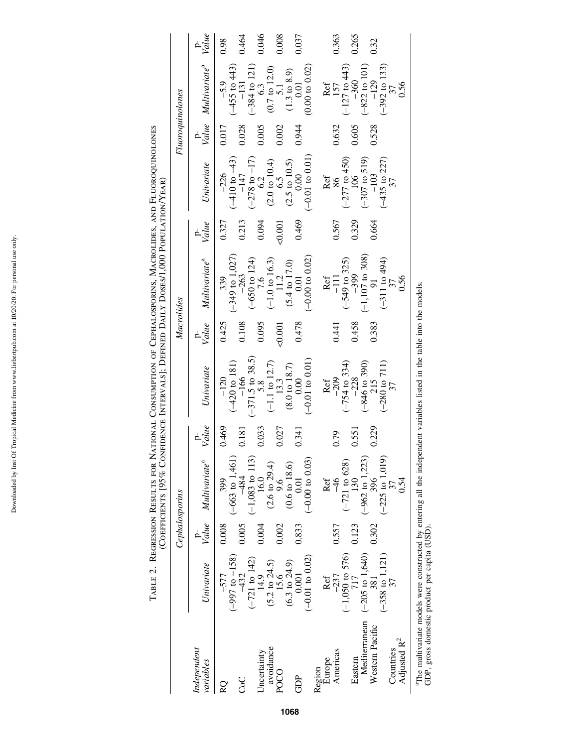|                                           |                                                                                                                                                                                      |                   |                                                                |                | (Coefficients [95% Confidence Intervals]; Defined Daily Doses/1,000 Population/Year)                                       |                |                                                                        |                |                                                                        |                  |                                                                                                                   |                   |
|-------------------------------------------|--------------------------------------------------------------------------------------------------------------------------------------------------------------------------------------|-------------------|----------------------------------------------------------------|----------------|----------------------------------------------------------------------------------------------------------------------------|----------------|------------------------------------------------------------------------|----------------|------------------------------------------------------------------------|------------------|-------------------------------------------------------------------------------------------------------------------|-------------------|
|                                           |                                                                                                                                                                                      |                   | Cephalosporins                                                 |                |                                                                                                                            | Macrolides     |                                                                        |                |                                                                        | Fluoroquinolones |                                                                                                                   |                   |
| Independent<br>variables                  | Univariate                                                                                                                                                                           | $\frac{p}{Value}$ | Multivariate <sup>a</sup>                                      | p-<br>Value    | Univariate                                                                                                                 | p-<br>Value    | Multivariate <sup>a</sup>                                              | p-<br>Value    | Univariate                                                             | $V$ dlue         | Multivariate <sup>a</sup>                                                                                         | $\frac{p}{Value}$ |
| CoC<br>RQ                                 | $(-997 \text{ to } -158)$<br>$(-721$ to 142)<br>$-432$<br>-577                                                                                                                       | 0.008<br>0.005    | $(-663 \text{ to } 1,461)$<br>$(-1,083$ to 113)<br>484<br>399  | 0.469<br>0.181 | $(-420 \text{ to } 181)$<br>$-166$<br>$-120$                                                                               | 0.108<br>0.425 | $(-349 \text{ to } 1,027)$<br>$-263$<br>339                            | 0.213<br>0.327 | $(-410 \text{ to } -43)$<br>$-147$<br>$-226$                           | 0.028<br>0.017   | $(-455$ to $443)$<br>$-131$<br>$-5.9$                                                                             | 0.464<br>0.98     |
| avoidance<br>Uncertainty<br>$_{\rm POCO}$ | $(5.2 \text{ to } 24.5)$<br>15.6<br>14.9                                                                                                                                             | 0.002<br>0.004    | $(2.6 \text{ to } 29.4)$<br>16.0<br>9.6                        | 0.033<br>0.027 | $(-371.5 \text{ to } 38.5)$<br>5.8<br>$\begin{array}{c}(-1.1\text{ to }12.7)\\13.3\\(8.0\text{ to }18.7)\\0.00\end{array}$ | 0.095<br>0.001 | $(-650 \text{ to } 124)$<br>$(-1.0 \text{ to } 16.3)$<br>$11.2$<br>7.6 | 0.094<br>0.001 | $(-278 \text{ to } -17)$<br>$6.2$<br>$(2.0 \text{ to } 10.4)$<br>$6.5$ | 0.005<br>0.002   | $(-384$ to 121)<br>$(0.7 \text{ to } 12.0)$<br>$\begin{array}{c} 5.1 \\ (1.3 \text{ to } 8.9) \end{array}$<br>6.3 | 0.046<br>0.008    |
| GDP                                       | $(-0.01 \text{ to } 0.02)$<br>$(6.3 \text{ to } 24.9)$<br>0.001                                                                                                                      | 0.833             | $(-0.00 \text{ to } 0.03)$<br>$(0.6 \text{ to } 18.6)$<br>0.01 | 0.341          | $(-0.01 to 0.01)$                                                                                                          | 0.478          | $(-0.00 \text{ to } 0.02)$<br>$(5.4 \text{ to } 17.0)$<br>0.01         | 0.469          | $(-0.01 \text{ to } 0.01)$<br>$(2.5 \text{ to } 10.5)$<br>0.00         | 0.944            | (0.00 to 0.02)<br>0.01                                                                                            | 0.037             |
| Europe<br>Region                          | $-237$<br>Ref                                                                                                                                                                        | 0.557             | Ref<br>$\frac{9}{5}$                                           | 0.79           | $-209$<br>Ref                                                                                                              |                | Ref<br>$\Xi$                                                           |                | Ref<br>86                                                              | 0.632            | Ref<br>157                                                                                                        | 0.363             |
| Americas<br>Eastern                       | $(-1,050 \text{ to } 576)$<br>$717$                                                                                                                                                  | 0.123             | $(-721 \text{ to } 628)$<br>130                                | 0.551          | $(-754 \text{ to } 334)$<br>-228                                                                                           | 0.458<br>0.441 | $(-549$ to 325)<br>-399                                                | 0.329<br>0.567 | $(-277$ to 450)<br>106                                                 | 0.605            | $(-127$ to 443)<br>-360                                                                                           | 0.265             |
| Mediterranean<br>Western Pacific          | $(-358$ to $1,121)$<br>$(-205$ to $1,640)$<br>381                                                                                                                                    | 0.302             | $-962$ to 1,223)<br>$(-225 \text{ to } 1,019)$<br>396          | 0.229          | $(-846 \text{ to } 390)$<br>215<br>$(-280 \text{ to } 711)$                                                                | 0.383          | $(-1,107$ to 308)<br>91<br>$(-311$ to $494)$                           | 0.664          | $(-307$ to 519)<br>-103                                                | 0.528            | $(-392$ to 133)<br>$(-822 \text{ to } 101)$<br>$-129$                                                             | 0.32              |
| Adjusted R <sup>2</sup><br>Countries      |                                                                                                                                                                                      |                   | 0.54                                                           |                | 37                                                                                                                         |                | 0.56                                                                   |                | $\frac{(-435 \text{ to } 227)}{37}$                                    |                  | 0.56                                                                                                              |                   |
|                                           | <sup>a</sup> The multivariate models were constructed by entering all the independent variables listed in the table into the models.<br>GDP, gross domestic product per capita (USD) |                   |                                                                |                |                                                                                                                            |                |                                                                        |                |                                                                        |                  |                                                                                                                   |                   |

TABLE 2. REGRESSION RESULTS FOR NATIONAL CONSUMPTION OF CEPHALOSPORINS, MACROLIDES, AND FLUOROQUINOLONES Table 2. Regression Results for National Consumption of Cephalosporins, Macrolides, and Fluoroquinolones

Downloaded by Inst Of Tropical Medicine from www.liebertpub.com at 10/20/20. For personal use only. Downloaded by Inst Of Tropical Medicine from www.liebertpub.com at 10/20/20. For personal use only.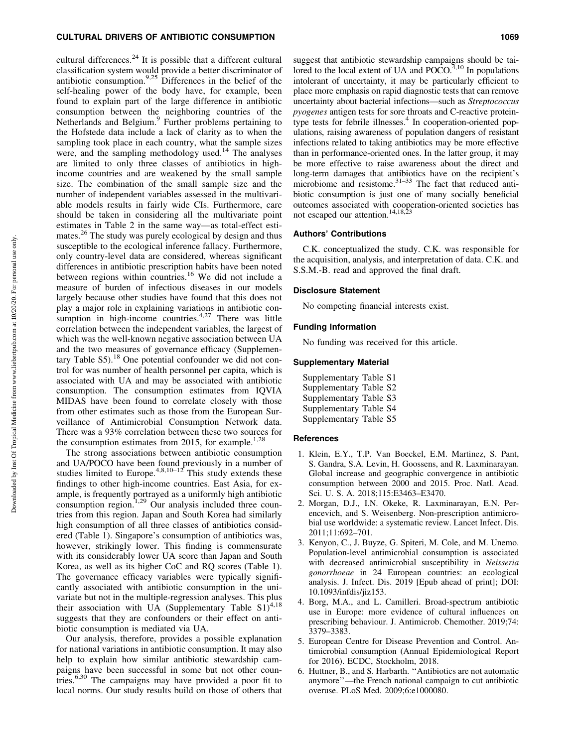## CULTURAL DRIVERS OF ANTIBIOTIC CONSUMPTION 1069

cultural differences.<sup>24</sup> It is possible that a different cultural classification system would provide a better discriminator of antibiotic consumption.<sup>9,25</sup> Differences in the belief of the self-healing power of the body have, for example, been found to explain part of the large difference in antibiotic consumption between the neighboring countries of the Netherlands and Belgium.<sup>9</sup> Further problems pertaining to the Hofstede data include a lack of clarity as to when the sampling took place in each country, what the sample sizes were, and the sampling methodology used.<sup>14</sup> The analyses are limited to only three classes of antibiotics in highincome countries and are weakened by the small sample size. The combination of the small sample size and the number of independent variables assessed in the multivariable models results in fairly wide CIs. Furthermore, care should be taken in considering all the multivariate point estimates in Table 2 in the same way—as total-effect estimates.<sup>26</sup> The study was purely ecological by design and thus susceptible to the ecological inference fallacy. Furthermore, only country-level data are considered, whereas significant differences in antibiotic prescription habits have been noted between regions within countries.<sup>16</sup> We did not include a measure of burden of infectious diseases in our models largely because other studies have found that this does not play a major role in explaining variations in antibiotic consumption in high-income countries. $4.27$  There was little correlation between the independent variables, the largest of which was the well-known negative association between UA and the two measures of governance efficacy (Supplementary Table  $S5$ ).<sup>18</sup> One potential confounder we did not control for was number of health personnel per capita, which is associated with UA and may be associated with antibiotic consumption. The consumption estimates from IQVIA MIDAS have been found to correlate closely with those from other estimates such as those from the European Surveillance of Antimicrobial Consumption Network data. There was a 93% correlation between these two sources for the consumption estimates from 2015, for example.<sup>1,28</sup>

The strong associations between antibiotic consumption and UA/POCO have been found previously in a number of studies limited to Europe.<sup>4,8,10-12</sup> This study extends these findings to other high-income countries. East Asia, for example, is frequently portrayed as a uniformly high antibiotic consumption region.<sup>1,29</sup> Our analysis included three countries from this region. Japan and South Korea had similarly high consumption of all three classes of antibiotics considered (Table 1). Singapore's consumption of antibiotics was, however, strikingly lower. This finding is commensurate with its considerably lower UA score than Japan and South Korea, as well as its higher CoC and RQ scores (Table 1). The governance efficacy variables were typically significantly associated with antibiotic consumption in the univariate but not in the multiple-regression analyses. This plus their association with UA (Supplementary Table  $S1$ )<sup>4,18</sup> suggests that they are confounders or their effect on antibiotic consumption is mediated via UA.

Our analysis, therefore, provides a possible explanation for national variations in antibiotic consumption. It may also help to explain how similar antibiotic stewardship campaigns have been successful in some but not other countries.6,30 The campaigns may have provided a poor fit to local norms. Our study results build on those of others that suggest that antibiotic stewardship campaigns should be tailored to the local extent of UA and  $POCO<sub>4,10</sub>$  In populations intolerant of uncertainty, it may be particularly efficient to place more emphasis on rapid diagnostic tests that can remove uncertainty about bacterial infections—such as *Streptococcus pyogenes* antigen tests for sore throats and C-reactive proteintype tests for febrile illnesses. $4\,$  In cooperation-oriented populations, raising awareness of population dangers of resistant infections related to taking antibiotics may be more effective than in performance-oriented ones. In the latter group, it may be more effective to raise awareness about the direct and long-term damages that antibiotics have on the recipient's microbiome and resistome. $31-33$  The fact that reduced antibiotic consumption is just one of many socially beneficial outcomes associated with cooperation-oriented societies has not escaped our attention.<sup>14,18,23</sup>

## Authors' Contributions

C.K. conceptualized the study. C.K. was responsible for the acquisition, analysis, and interpretation of data. C.K. and S.S.M.-B. read and approved the final draft.

#### Disclosure Statement

No competing financial interests exist.

### Funding Information

No funding was received for this article.

## Supplementary Material

| Supplementary Table S1 |  |
|------------------------|--|
| Supplementary Table S2 |  |
| Supplementary Table S3 |  |
| Supplementary Table S4 |  |
| Supplementary Table S5 |  |

#### **References**

- 1. Klein, E.Y., T.P. Van Boeckel, E.M. Martinez, S. Pant, S. Gandra, S.A. Levin, H. Goossens, and R. Laxminarayan. Global increase and geographic convergence in antibiotic consumption between 2000 and 2015. Proc. Natl. Acad. Sci. U. S. A. 2018;115:E3463–E3470.
- 2. Morgan, D.J., I.N. Okeke, R. Laxminarayan, E.N. Perencevich, and S. Weisenberg. Non-prescription antimicrobial use worldwide: a systematic review. Lancet Infect. Dis. 2011;11:692–701.
- 3. Kenyon, C., J. Buyze, G. Spiteri, M. Cole, and M. Unemo. Population-level antimicrobial consumption is associated with decreased antimicrobial susceptibility in *Neisseria gonorrhoeae* in 24 European countries: an ecological analysis. J. Infect. Dis. 2019 [Epub ahead of print]; DOI: 10.1093/infdis/jiz153.
- 4. Borg, M.A., and L. Camilleri. Broad-spectrum antibiotic use in Europe: more evidence of cultural influences on prescribing behaviour. J. Antimicrob. Chemother. 2019;74: 3379–3383.
- 5. European Centre for Disease Prevention and Control. Antimicrobial consumption (Annual Epidemiological Report for 2016). ECDC, Stockholm, 2018.
- 6. Huttner, B., and S. Harbarth. ''Antibiotics are not automatic anymore''—the French national campaign to cut antibiotic overuse. PLoS Med. 2009;6:e1000080.